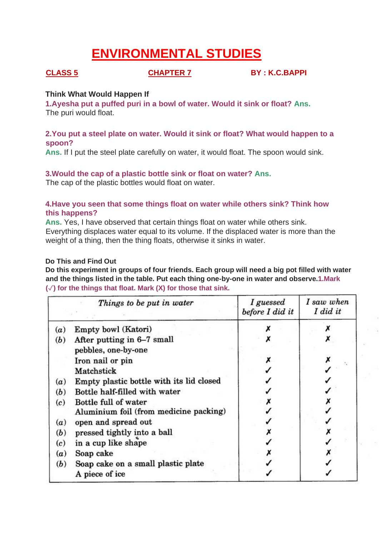# **ENVIRONMENTAL STUDIES**

**CLASS 5 CHAPTER 7 BY : K.C.BAPPI**

#### **Think What Would Happen If**

**1.Ayesha put a puffed puri in a bowl of water. Would it sink or float? Ans.** The puri would float.

### **2.You put a steel plate on water. Would it sink or float? What would happen to a spoon?**

**Ans.** If I put the steel plate carefully on water, it would float. The spoon would sink.

#### **3.Would the cap of a plastic bottle sink or float on water? Ans.**

The cap of the plastic bottles would float on water.

#### **4.Have you seen that some things float on water while others sink? Think how this happens?**

**Ans.** Yes, I have observed that certain things float on water while others sink. Everything displaces water equal to its volume. If the displaced water is more than the weight of a thing, then the thing floats, otherwise it sinks in water.

#### **Do This and Find Out**

**Do this experiment in groups of four friends. Each group will need a big pot filled with water and the things listed in the table. Put each thing one-by-one in water and observe.1.Mark (**✓**) for the things that float. Mark (X) for those that sink.**

|     | Things to be put in water                         | I guessed<br>before I did it | I saw when<br>I did it |
|-----|---------------------------------------------------|------------------------------|------------------------|
| (a) | Empty bowl (Katori)                               |                              |                        |
| (b) | After putting in 6-7 small<br>pebbles, one-by-one |                              |                        |
|     | Iron nail or pin                                  |                              |                        |
|     | Matchstick                                        |                              |                        |
| (a) | Empty plastic bottle with its lid closed          |                              |                        |
| (b) | Bottle half-filled with water                     |                              |                        |
| (c) | Bottle full of water                              |                              |                        |
|     | Aluminium foil (from medicine packing)            |                              |                        |
| (a) | open and spread out                               |                              |                        |
| (b) | pressed tightly into a ball                       |                              |                        |
| (c) | in a cup like shape                               |                              |                        |
| (a) | Soap cake                                         |                              |                        |
| (b) | Soap cake on a small plastic plate                |                              |                        |
|     | A piece of ice                                    |                              |                        |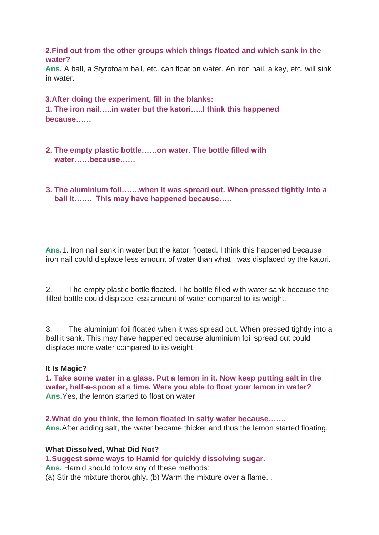#### **2.Find out from the other groups which things floated and which sank in the water?**

**Ans.** A ball, a Styrofoam ball, etc. can float on water. An iron nail, a key, etc. will sink in water.

**3.After doing the experiment, fill in the blanks: 1. The iron nail…..in water but the katori…..I think this happened because……** 

- **2. The empty plastic bottle……on water. The bottle filled with**  water **because**
- **3. The aluminium foil…….when it was spread out. When pressed tightly into a ball it……. This may have happened because…..**

**Ans.**1. Iron nail sank in water but the katori floated. I think this happened because iron nail could displace less amount of water than what was displaced by the katori.

2. The empty plastic bottle floated. The bottle filled with water sank because the filled bottle could displace less amount of water compared to its weight.

3. The aluminium foil floated when it was spread out. When pressed tightly into a ball it sank. This may have happened because aluminium foil spread out could displace more water compared to its weight.

#### **It Is Magic?**

**1. Take some water in a glass. Put a lemon in it. Now keep putting salt in the water, half-a-spoon at a time. Were you able to float your lemon in water? Ans.**Yes, the lemon started to float on water.

**2.What do you think, the lemon floated in salty water because……. Ans.**After adding salt, the water became thicker and thus the lemon started floating.

#### **What Dissolved, What Did Not?**

**1.Suggest some ways to Hamid for quickly dissolving sugar. Ans.** Hamid should follow any of these methods:

(a) Stir the mixture thoroughly. (b) Warm the mixture over a flame. .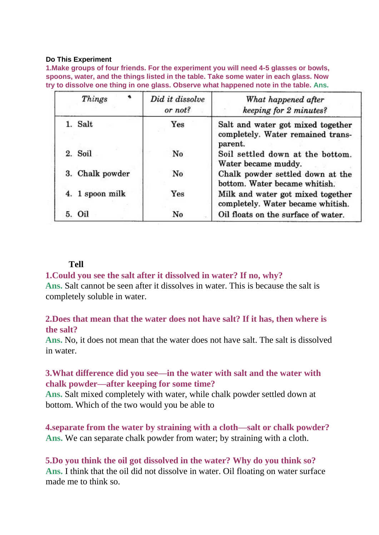#### **Do This Experiment**

**1.Make groups of four friends. For the experiment you will need 4-5 glasses or bowls, spoons, water, and the things listed in the table. Take some water in each glass. Now try to dissolve one thing in one glass. Observe what happened note in the table. Ans.**

| ۰<br>Things     | Did it dissolve<br>or not? | What happened after<br>keeping for 2 minutes?                                     |
|-----------------|----------------------------|-----------------------------------------------------------------------------------|
| 1. Salt         | Yes                        | Salt and water got mixed together<br>completely. Water remained trans-<br>parent. |
| 2. Soil         | No                         | Soil settled down at the bottom.<br>Water became muddy.                           |
| 3. Chalk powder | No                         | Chalk powder settled down at the<br>bottom. Water became whitish.                 |
| 4. 1 spoon milk | Yes                        | Milk and water got mixed together<br>completely. Water became whitish.            |
| 5.<br>Oil       | No                         | Oil floats on the surface of water.                                               |

# **Tell**

### **1.Could you see the salt after it dissolved in water? If no, why?**

**Ans.** Salt cannot be seen after it dissolves in water. This is because the salt is completely soluble in water.

# **2.Does that mean that the water does not have salt? If it has, then where is the salt?**

**Ans.** No, it does not mean that the water does not have salt. The salt is dissolved in water.

# **3.What difference did you see—in the water with salt and the water with chalk powder—after keeping for some time?**

**Ans.** Salt mixed completely with water, while chalk powder settled down at bottom. Which of the two would you be able to

**4.separate from the water by straining with a cloth—salt or chalk powder? Ans.** We can separate chalk powder from water; by straining with a cloth.

**5.Do you think the oil got dissolved in the water? Why do you think so? Ans.** I think that the oil did not dissolve in water. Oil floating on water surface made me to think so.